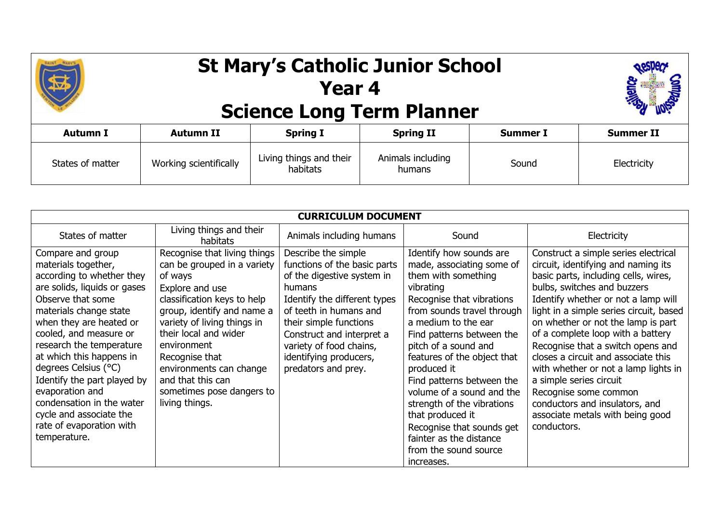

## **St Mary's Catholic Junior School Year 4 Science Long Term Planner**



| Autumn I         | <b>Autumn II</b>       | <b>Spring I</b>                     | <b>Spring II</b>            | <b>Summer I</b> | <b>Summer II</b> |
|------------------|------------------------|-------------------------------------|-----------------------------|-----------------|------------------|
| States of matter | Working scientifically | Living things and their<br>habitats | Animals including<br>humans | Sound           | Electricity      |

| <b>CURRICULUM DOCUMENT</b>   |                                     |                              |                             |                                         |
|------------------------------|-------------------------------------|------------------------------|-----------------------------|-----------------------------------------|
| States of matter             | Living things and their<br>habitats | Animals including humans     | Sound                       | Electricity                             |
| Compare and group            | Recognise that living things        | Describe the simple          | Identify how sounds are     | Construct a simple series electrical    |
| materials together,          | can be grouped in a variety         | functions of the basic parts | made, associating some of   | circuit, identifying and naming its     |
| according to whether they    | of ways                             | of the digestive system in   | them with something         | basic parts, including cells, wires,    |
| are solids, liquids or gases | Explore and use                     | humans                       | vibrating                   | bulbs, switches and buzzers             |
| Observe that some            | classification keys to help         | Identify the different types | Recognise that vibrations   | Identify whether or not a lamp will     |
| materials change state       | group, identify and name a          | of teeth in humans and       | from sounds travel through  | light in a simple series circuit, based |
| when they are heated or      | variety of living things in         | their simple functions       | a medium to the ear         | on whether or not the lamp is part      |
| cooled, and measure or       | their local and wider               | Construct and interpret a    | Find patterns between the   | of a complete loop with a battery       |
| research the temperature     | environment                         | variety of food chains,      | pitch of a sound and        | Recognise that a switch opens and       |
| at which this happens in     | Recognise that                      | identifying producers,       | features of the object that | closes a circuit and associate this     |
| degrees Celsius (°C)         | environments can change             | predators and prey.          | produced it                 | with whether or not a lamp lights in    |
| Identify the part played by  | and that this can                   |                              | Find patterns between the   | a simple series circuit                 |
| evaporation and              | sometimes pose dangers to           |                              | volume of a sound and the   | Recognise some common                   |
| condensation in the water    | living things.                      |                              | strength of the vibrations  | conductors and insulators, and          |
| cycle and associate the      |                                     |                              | that produced it            | associate metals with being good        |
| rate of evaporation with     |                                     |                              | Recognise that sounds get   | conductors.                             |
| temperature.                 |                                     |                              | fainter as the distance     |                                         |
|                              |                                     |                              | from the sound source       |                                         |
|                              |                                     |                              | increases.                  |                                         |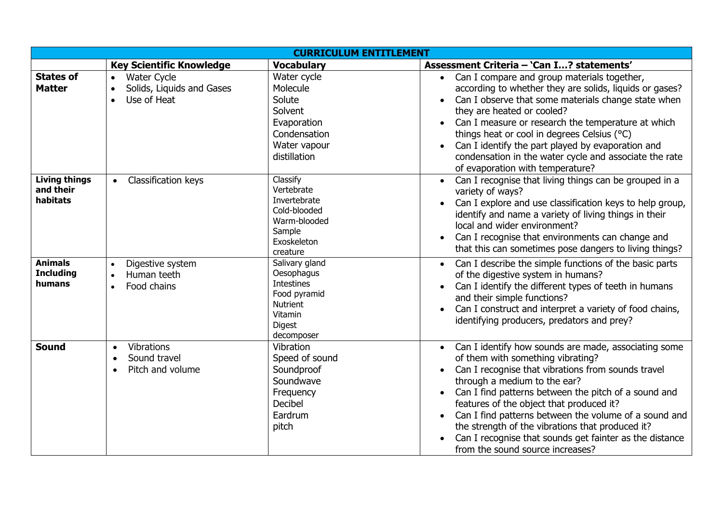| <b>CURRICULUM ENTITLEMENT</b>                 |                                                                                          |                                                                                                                                |                                                                                                                                                                                                                                                                                                                                                                                                                                                                                                                                        |  |
|-----------------------------------------------|------------------------------------------------------------------------------------------|--------------------------------------------------------------------------------------------------------------------------------|----------------------------------------------------------------------------------------------------------------------------------------------------------------------------------------------------------------------------------------------------------------------------------------------------------------------------------------------------------------------------------------------------------------------------------------------------------------------------------------------------------------------------------------|--|
|                                               | <b>Key Scientific Knowledge</b>                                                          | <b>Vocabulary</b>                                                                                                              | Assessment Criteria - 'Can I? statements'                                                                                                                                                                                                                                                                                                                                                                                                                                                                                              |  |
| <b>States of</b><br><b>Matter</b>             | <b>Water Cycle</b><br>$\bullet$<br>Solids, Liquids and Gases<br>$\bullet$<br>Use of Heat | Water cycle<br>Molecule<br>Solute<br>Solvent<br>Evaporation<br>Condensation<br>Water vapour<br>distillation                    | • Can I compare and group materials together,<br>according to whether they are solids, liquids or gases?<br>Can I observe that some materials change state when<br>$\bullet$<br>they are heated or cooled?<br>Can I measure or research the temperature at which<br>things heat or cool in degrees Celsius (°C)<br>Can I identify the part played by evaporation and<br>$\bullet$<br>condensation in the water cycle and associate the rate<br>of evaporation with temperature?                                                        |  |
| <b>Living things</b><br>and their<br>habitats | Classification keys<br>$\bullet$                                                         | Classify<br>Vertebrate<br>Invertebrate<br>Cold-blooded<br>Warm-blooded<br>Sample<br>Exoskeleton<br>creature                    | Can I recognise that living things can be grouped in a<br>$\bullet$<br>variety of ways?<br>Can I explore and use classification keys to help group,<br>$\bullet$<br>identify and name a variety of living things in their<br>local and wider environment?<br>Can I recognise that environments can change and<br>$\bullet$<br>that this can sometimes pose dangers to living things?                                                                                                                                                   |  |
| <b>Animals</b><br><b>Including</b><br>humans  | Digestive system<br>$\bullet$<br>Human teeth<br>$\bullet$<br>Food chains                 | Salivary gland<br>Oesophagus<br><b>Intestines</b><br>Food pyramid<br><b>Nutrient</b><br>Vitamin<br><b>Digest</b><br>decomposer | Can I describe the simple functions of the basic parts<br>$\bullet$<br>of the digestive system in humans?<br>Can I identify the different types of teeth in humans<br>and their simple functions?<br>Can I construct and interpret a variety of food chains,<br>identifying producers, predators and prey?                                                                                                                                                                                                                             |  |
| <b>Sound</b>                                  | Vibrations<br>$\bullet$<br>Sound travel<br>$\bullet$<br>Pitch and volume<br>$\bullet$    | Vibration<br>Speed of sound<br>Soundproof<br>Soundwave<br>Frequency<br>Decibel<br>Eardrum<br>pitch                             | Can I identify how sounds are made, associating some<br>of them with something vibrating?<br>Can I recognise that vibrations from sounds travel<br>$\bullet$<br>through a medium to the ear?<br>Can I find patterns between the pitch of a sound and<br>$\bullet$<br>features of the object that produced it?<br>Can I find patterns between the volume of a sound and<br>$\bullet$<br>the strength of the vibrations that produced it?<br>Can I recognise that sounds get fainter as the distance<br>from the sound source increases? |  |